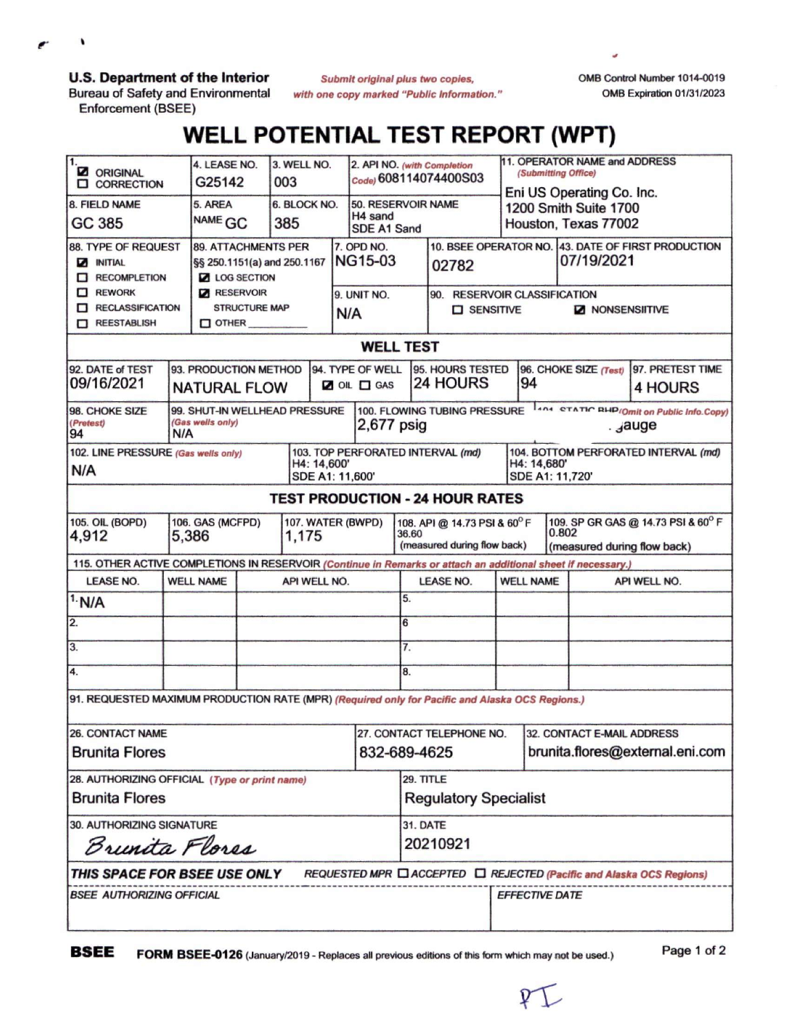**U.S. Department of the Interior**

٠

**Bureau of Safety and Environmental Enforcement (BSEE)**

*Submit original plus two copies, with one copy marked "Public Information.'* OMB Control Number 1014-0019 OMB Expiration 01/31/2023

## **WELL POTENTIAL TEST REPORT (WPT)**

| 1.<br><b>Z</b> ORIGINAL<br><b>CORRECTION</b><br>п                                                                    |                                                                                                                                                                                     | 4. LEASE NO.<br>G25142                                                                                         |                             | 3. WELL NO.<br>003  |  |                                             | 2. API NO. (with Completion<br>Code) 608114074400S03 |                                                             |                                                            | 11. OPERATOR NAME and ADDRESS<br>(Submitting Office)<br>Eni US Operating Co. Inc. |                                                                                            |       |                                                                   |                             |  |
|----------------------------------------------------------------------------------------------------------------------|-------------------------------------------------------------------------------------------------------------------------------------------------------------------------------------|----------------------------------------------------------------------------------------------------------------|-----------------------------|---------------------|--|---------------------------------------------|------------------------------------------------------|-------------------------------------------------------------|------------------------------------------------------------|-----------------------------------------------------------------------------------|--------------------------------------------------------------------------------------------|-------|-------------------------------------------------------------------|-----------------------------|--|
| 8. FIELD NAME<br>GC 385                                                                                              |                                                                                                                                                                                     | 5. AREA<br>NAME GC                                                                                             |                             | 6. BLOCK NO.<br>385 |  |                                             | 50. RESERVOIR NAME<br>H4 sand<br>SDE A1 Sand         |                                                             |                                                            | 1200 Smith Suite 1700<br>Houston, Texas 77002                                     |                                                                                            |       |                                                                   |                             |  |
| 88. TYPE OF REQUEST<br><b>MITIAL</b><br>RECOMPLETION<br><b>REWORK</b><br>o<br><b>RECLASSIFICATION</b><br>REESTABLISH |                                                                                                                                                                                     | <b>89. ATTACHMENTS PER</b><br><b>Z</b> LOG SECTION<br><b>RESERVOIR</b><br><b>STRUCTURE MAP</b><br>$\Box$ OTHER | §§ 250.1151(a) and 250.1167 |                     |  | 7. OPD NO.<br>NG15-03<br>9. UNIT NO.<br>N/A |                                                      | 02782<br>90. RESERVOIR CLASSIFICATION<br><b>D</b> SENSITIVE |                                                            |                                                                                   | 10. BSEE OPERATOR NO. 43. DATE OF FIRST PRODUCTION<br>07/19/2021<br><b>Z NONSENSIITIVE</b> |       |                                                                   |                             |  |
| <b>WELL TEST</b>                                                                                                     |                                                                                                                                                                                     |                                                                                                                |                             |                     |  |                                             |                                                      |                                                             |                                                            |                                                                                   |                                                                                            |       |                                                                   |                             |  |
| 92. DATE of TEST<br>09/16/2021                                                                                       | 93. PRODUCTION METHOD<br><b>NATURAL FLOW</b>                                                                                                                                        |                                                                                                                |                             |                     |  |                                             | 94. TYPE OF WELL<br>OIL OGAS                         |                                                             | 95. HOURS TESTED<br><b>24 HOURS</b>                        |                                                                                   | 96. CHOKE SIZE (Test)<br>94                                                                |       |                                                                   | 97. PRETEST TIME<br>4 HOURS |  |
| 98. CHOKE SIZE<br>(Pretest)<br>94                                                                                    | <b>LANA STATIC BHP/Omit on Public Info.Copy)</b><br>100. FLOWING TUBING PRESSURE<br>99. SHUT-IN WELLHEAD PRESSURE<br>(Gas wells only)<br>$2,677$ psig<br>. <sub>J</sub> auge<br>N/A |                                                                                                                |                             |                     |  |                                             |                                                      |                                                             |                                                            |                                                                                   |                                                                                            |       |                                                                   |                             |  |
| 102. LINE PRESSURE (Gas wells only)<br>H4: 14,600'<br>N/A<br>SDE A1: 11,600'                                         |                                                                                                                                                                                     |                                                                                                                |                             |                     |  |                                             |                                                      |                                                             | 103. TOP PERFORATED INTERVAL (md)                          |                                                                                   | 104. BOTTOM PERFORATED INTERVAL (md)<br>H4: 14,680'<br>SDE A1: 11,720'                     |       |                                                                   |                             |  |
|                                                                                                                      |                                                                                                                                                                                     |                                                                                                                |                             |                     |  |                                             |                                                      |                                                             | <b>TEST PRODUCTION - 24 HOUR RATES</b>                     |                                                                                   |                                                                                            |       |                                                                   |                             |  |
| <b>105. OIL (BOPD)</b><br>106. GAS (MCFPD)<br>107. WATER (BWPD)<br>4,912<br>5,386<br>1,175                           |                                                                                                                                                                                     |                                                                                                                |                             |                     |  |                                             |                                                      | 36.60                                                       | 108. API @ 14.73 PSI & 60°F<br>(measured during flow back) |                                                                                   |                                                                                            | 0.802 | 109. SP GR GAS @ 14.73 PSI & 60° F<br>(measured during flow back) |                             |  |
| 115. OTHER ACTIVE COMPLETIONS IN RESERVOIR (Continue in Remarks or attach an additional sheet if necessary.)         |                                                                                                                                                                                     |                                                                                                                |                             |                     |  |                                             |                                                      |                                                             |                                                            |                                                                                   |                                                                                            |       |                                                                   |                             |  |
| <b>LEASE NO.</b>                                                                                                     | <b>WELL NAME</b>                                                                                                                                                                    |                                                                                                                |                             | API WELL NO.        |  |                                             |                                                      |                                                             | <b>LEASE NO.</b>                                           |                                                                                   | <b>WELL NAME</b>                                                                           |       | API WELL NO.                                                      |                             |  |
| 1. N/A                                                                                                               |                                                                                                                                                                                     |                                                                                                                |                             |                     |  |                                             |                                                      | 5.                                                          |                                                            |                                                                                   |                                                                                            |       |                                                                   |                             |  |
| 2.                                                                                                                   |                                                                                                                                                                                     |                                                                                                                |                             |                     |  |                                             |                                                      | 6                                                           |                                                            |                                                                                   |                                                                                            |       |                                                                   |                             |  |
| 3.                                                                                                                   |                                                                                                                                                                                     |                                                                                                                |                             |                     |  | 7.                                          |                                                      |                                                             |                                                            |                                                                                   |                                                                                            |       |                                                                   |                             |  |
| 4.                                                                                                                   |                                                                                                                                                                                     |                                                                                                                |                             |                     |  |                                             |                                                      | 8.                                                          |                                                            |                                                                                   |                                                                                            |       |                                                                   |                             |  |
| 91. REQUESTED MAXIMUM PRODUCTION RATE (MPR) (Required only for Pacific and Alaska OCS Regions.)                      |                                                                                                                                                                                     |                                                                                                                |                             |                     |  |                                             |                                                      |                                                             |                                                            |                                                                                   |                                                                                            |       |                                                                   |                             |  |
| 26. CONTACT NAME<br><b>Brunita Flores</b>                                                                            |                                                                                                                                                                                     |                                                                                                                |                             |                     |  |                                             |                                                      | 27. CONTACT TELEPHONE NO.<br>832-689-4625                   |                                                            |                                                                                   | 32. CONTACT E-MAIL ADDRESS<br>brunita.flores@external.eni.com                              |       |                                                                   |                             |  |
| 28. AUTHORIZING OFFICIAL (Type or print name)<br><b>Brunita Flores</b>                                               |                                                                                                                                                                                     |                                                                                                                |                             |                     |  |                                             |                                                      | 29. TITLE<br><b>Regulatory Specialist</b>                   |                                                            |                                                                                   |                                                                                            |       |                                                                   |                             |  |
| 30. AUTHORIZING SIGNATURE<br>Brunita Flores                                                                          |                                                                                                                                                                                     |                                                                                                                |                             |                     |  |                                             |                                                      | 31. DATE<br>20210921                                        |                                                            |                                                                                   |                                                                                            |       |                                                                   |                             |  |
| THIS SPACE FOR BSEE USE ONLY<br>REQUESTED MPR Q ACCEPTED Q REJECTED (Pacific and Alaska OCS Regions)                 |                                                                                                                                                                                     |                                                                                                                |                             |                     |  |                                             |                                                      |                                                             |                                                            |                                                                                   |                                                                                            |       |                                                                   |                             |  |
| BSEE AUTHORIZING OFFICIAL                                                                                            |                                                                                                                                                                                     |                                                                                                                |                             |                     |  |                                             |                                                      |                                                             |                                                            | <b>EFFECTIVE DATE</b>                                                             |                                                                                            |       |                                                                   |                             |  |

**BSEE FORM BSEE-0126** (January/2019 - Replaces all previous editions of this form which may not be used.) Page <sup>1</sup> of <sup>2</sup>